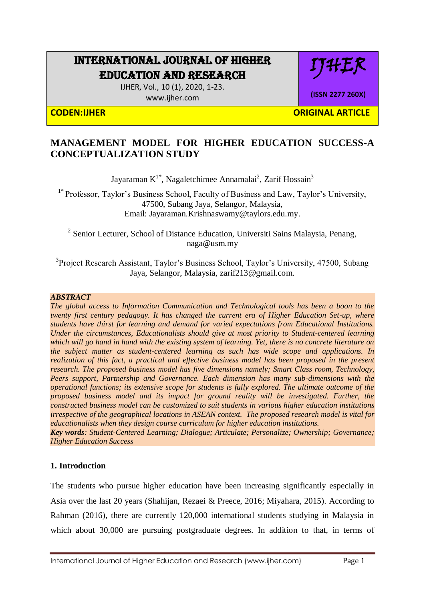# INTERNATIONAL JOURNAL OF HIGHER EDUCATION AND RESEARCH

IJHER, Vol., 10 (1), 2020, 1-23. [www.ijher.com](http://www.ijher.com/)

**(ISSN 2277 260X)**

IHEK

**CODEN:IJHER ORIGINAL ARTICLE** 

# **MANAGEMENT MODEL FOR HIGHER EDUCATION SUCCESS-A CONCEPTUALIZATION STUDY**

Jayaraman  $K^{1*}$ , Nagaletchimee Annamalai<sup>2</sup>, Zarif Hossain<sup>3</sup>

 $1*$  Professor, Taylor's Business School, Faculty of Business and Law, Taylor's University, 47500, Subang Jaya, Selangor, Malaysia, Email: [Jayaraman.Krishnaswamy@taylors.edu.my.](mailto:Jayaraman.Krishnaswamy@taylors.edu.my)

<sup>2</sup> Senior Lecturer, School of Distance Education, Universiti Sains Malaysia, Penang, [naga@usm.my](mailto:naga@usm.my)

<sup>3</sup>Project Research Assistant, Taylor's Business School, Taylor's University, 47500, Subang Jaya, Selangor, Malaysia, zarif213@gmail.com.

#### *ABSTRACT*

*The global access to Information Communication and Technological tools has been a boon to the twenty first century pedagogy. It has changed the current era of Higher Education Set-up, where students have thirst for learning and demand for varied expectations from Educational Institutions. Under the circumstances, Educationalists should give at most priority to Student-centered learning which will go hand in hand with the existing system of learning. Yet, there is no concrete literature on the subject matter as student-centered learning as such has wide scope and applications. In realization of this fact, a practical and effective business model has been proposed in the present research. The proposed business model has five dimensions namely; Smart Class room, Technology, Peers support, Partnership and Governance. Each dimension has many sub-dimensions with the operational functions; its extensive scope for students is fully explored. The ultimate outcome of the proposed business model and its impact for ground reality will be investigated. Further, the constructed business model can be customized to suit students in various higher education institutions irrespective of the geographical locations in ASEAN context. The proposed research model is vital for educationalists when they design course curriculum for higher education institutions.* 

*Key words: Student-Centered Learning; Dialogue; Articulate; Personalize; Ownership; Governance; Higher Education Success*

#### **1. Introduction**

The students who pursue higher education have been increasing significantly especially in Asia over the last 20 years (Shahijan, Rezaei & Preece, 2016; Miyahara, 2015). According to [Rahman](http://www.thestar.com.my/authors?q=%22Danial+Rahman%22) (2016), there are currently 120,000 international students studying in Malaysia in which about 30,000 are pursuing postgraduate degrees. In addition to that, in terms of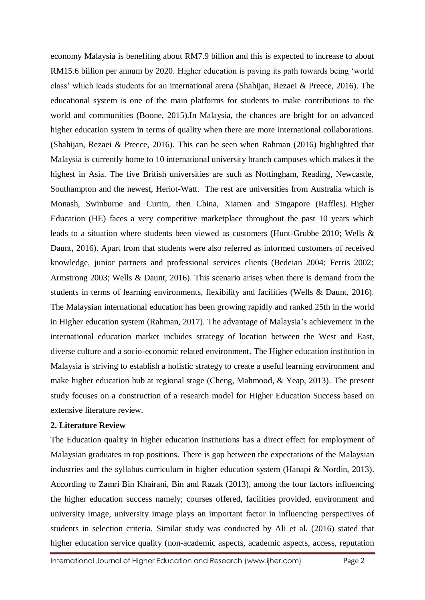economy Malaysia is benefiting about RM7.9 billion and this is expected to increase to about RM15.6 billion per annum by 2020. Higher education is paving its path towards being 'world class' which leads students for an international arena (Shahijan, Rezaei & Preece, 2016). The educational system is one of the main platforms for students to make contributions to the world and communities (Boone, 2015).In Malaysia, the chances are bright for an advanced higher education system in terms of quality when there are more international collaborations. (Shahijan, Rezaei & Preece, 2016). This can be seen when [Rahman](http://www.thestar.com.my/authors?q=%22Danial+Rahman%22) (2016) highlighted that Malaysia is currently home to 10 international university branch campuses which makes it the highest in Asia. The five British universities are such as Nottingham, Reading, Newcastle, Southampton and the newest, Heriot-Watt. The rest are universities from Australia which is Monash, Swinburne and Curtin, then China, Xiamen and Singapore (Raffles). Higher Education (HE) faces a very competitive marketplace throughout the past 10 years which leads to a situation where students been viewed as customers (Hunt-Grubbe 2010; Wells & Daunt, 2016). Apart from that students were also referred as informed customers of received knowledge, junior partners and professional services clients (Bedeian 2004; Ferris 2002; Armstrong 2003; Wells & Daunt, 2016). This scenario arises when there is demand from the students in terms of learning environments, flexibility and facilities (Wells & Daunt, 2016). The Malaysian international education has been growing rapidly and ranked 25th in the world in Higher education system (Rahman, 2017). The advantage of Malaysia's achievement in the international education market includes strategy of location between the West and East, diverse culture and a socio-economic related environment. The Higher education institution in Malaysia is striving to establish a holistic strategy to create a useful learning environment and make higher education hub at regional stage (Cheng, Mahmood, & Yeap, 2013). The present study focuses on a construction of a research model for Higher Education Success based on extensive literature review.

#### **2. Literature Review**

The Education quality in higher education institutions has a direct effect for employment of Malaysian graduates in top positions. There is gap between the expectations of the Malaysian industries and the syllabus curriculum in higher education system (Hanapi & Nordin, 2013). According to Zamri Bin Khairani, Bin and Razak (2013), among the four factors influencing the higher education success namely; courses offered, facilities provided, environment and university image, university image plays an important factor in influencing perspectives of students in selection criteria. Similar study was conducted by Ali et al. (2016) stated that higher education service quality (non-academic aspects, academic aspects, access, reputation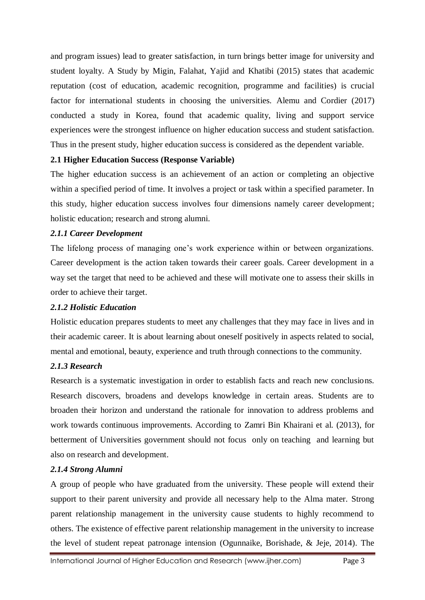and program issues) lead to greater satisfaction, in turn brings better image for university and student loyalty. A Study by Migin, Falahat, Yajid and Khatibi (2015) states that academic reputation (cost of education, academic recognition, programme and facilities) is crucial factor for international students in choosing the universities. Alemu and Cordier (2017) conducted a study in Korea, found that academic quality, living and support service experiences were the strongest influence on higher education success and student satisfaction. Thus in the present study, higher education success is considered as the dependent variable.

#### **2.1 Higher Education Success (Response Variable)**

The higher education success is an achievement of an action or completing an objective within a specified period of time. It involves a project or task within a specified parameter. In this study, higher education success involves four dimensions namely career development; holistic education; research and strong alumni.

#### *2.1.1 Career Development*

The lifelong process of managing one's work experience within or between organizations. Career development is the action taken towards their career goals. Career development in a way set the target that need to be achieved and these will motivate one to assess their skills in order to achieve their target.

### *2.1.2 Holistic Education*

Holistic education prepares students to meet any challenges that they may face in lives and in their academic career. It is about learning about oneself positively in aspects related to social, mental and emotional, beauty, experience and truth through connections to the community.

### *2.1.3 Research*

Research is a systematic investigation in order to establish facts and reach new conclusions. Research discovers, broadens and develops knowledge in certain areas. Students are to broaden their horizon and understand the rationale for innovation to address problems and work towards continuous improvements. According to Zamri Bin Khairani et al. (2013), for betterment of Universities government should not focus only on teaching and learning but also on research and development.

### *2.1.4 Strong Alumni*

A group of people who have graduated from the university. These people will extend their support to their parent university and provide all necessary help to the Alma mater. Strong parent relationship management in the university cause students to highly recommend to others. The existence of effective parent relationship management in the university to increase the level of student repeat patronage intension (Ogunnaike, Borishade, & Jeje, 2014). The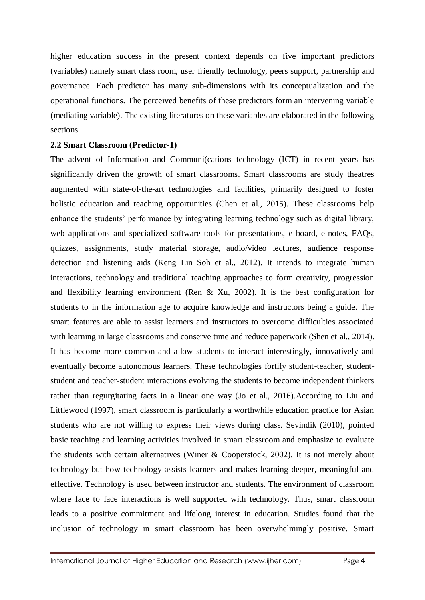higher education success in the present context depends on five important predictors (variables) namely smart class room, user friendly technology, peers support, partnership and governance. Each predictor has many sub-dimensions with its conceptualization and the operational functions. The perceived benefits of these predictors form an intervening variable (mediating variable). The existing literatures on these variables are elaborated in the following sections.

#### **2.2 Smart Classroom (Predictor-1)**

The advent of Information and Communi(cations technology (ICT) in recent years has significantly driven the growth of smart classrooms. Smart classrooms are study theatres augmented with state-of-the-art technologies and facilities, primarily designed to foster holistic education and teaching opportunities (Chen et al., 2015). These classrooms help enhance the students' performance by integrating learning technology such as digital library, web applications and specialized software tools for presentations, e-board, e-notes, FAQs, quizzes, assignments, study material storage, audio/video lectures, audience response detection and listening aids (Keng Lin Soh et al., 2012). It intends to integrate human interactions, technology and traditional teaching approaches to form creativity, progression and flexibility learning environment (Ren & Xu, 2002). It is the best configuration for students to in the information age to acquire knowledge and instructors being a guide. The smart features are able to assist learners and instructors to overcome difficulties associated with learning in large classrooms and conserve time and reduce paperwork (Shen et al., 2014). It has become more common and allow students to interact interestingly, innovatively and eventually become autonomous learners. These technologies fortify student-teacher, studentstudent and teacher-student interactions evolving the students to become independent thinkers rather than regurgitating facts in a linear one way (Jo et al., 2016).According to Liu and Littlewood (1997), smart classroom is particularly a worthwhile education practice for Asian students who are not willing to express their views during class. Sevindik (2010), pointed basic teaching and learning activities involved in smart classroom and emphasize to evaluate the students with certain alternatives (Winer & Cooperstock, 2002). It is not merely about technology but how technology assists learners and makes learning deeper, meaningful and effective. Technology is used between instructor and students. The environment of classroom where face to face interactions is well supported with technology. Thus, smart classroom leads to a positive commitment and lifelong interest in education. Studies found that the inclusion of technology in smart classroom has been overwhelmingly positive. Smart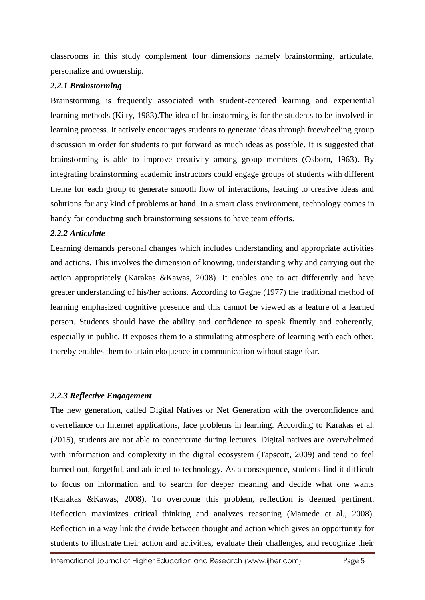classrooms in this study complement four dimensions namely brainstorming, articulate, personalize and ownership.

#### *2.2.1 Brainstorming*

Brainstorming is frequently associated with student-centered learning and experiential learning methods (Kilty, 1983).The idea of brainstorming is for the students to be involved in learning process. It actively encourages students to generate ideas through freewheeling group discussion in order for students to put forward as much ideas as possible. It is suggested that brainstorming is able to improve creativity among group members (Osborn, 1963). By integrating brainstorming academic instructors could engage groups of students with different theme for each group to generate smooth flow of interactions, leading to creative ideas and solutions for any kind of problems at hand. In a smart class environment, technology comes in handy for conducting such brainstorming sessions to have team efforts.

#### *2.2.2 Articulate*

Learning demands personal changes which includes understanding and appropriate activities and actions. This involves the dimension of knowing, understanding why and carrying out the action appropriately (Karakas &Kawas, 2008). It enables one to act differently and have greater understanding of his/her actions. According to Gagne (1977) the traditional method of learning emphasized cognitive presence and this cannot be viewed as a feature of a learned person. Students should have the ability and confidence to speak fluently and coherently, especially in public. It exposes them to a stimulating atmosphere of learning with each other, thereby enables them to attain eloquence in communication without stage fear.

### *2.2.3 Reflective Engagement*

The new generation, called Digital Natives or Net Generation with the overconfidence and overreliance on Internet applications, face problems in learning. According to Karakas et al. (2015), students are not able to concentrate during lectures. Digital natives are overwhelmed with information and complexity in the digital ecosystem (Tapscott, 2009) and tend to feel burned out, forgetful, and addicted to technology. As a consequence, students find it difficult to focus on information and to search for deeper meaning and decide what one wants (Karakas &Kawas, 2008). To overcome this problem, reflection is deemed pertinent. Reflection maximizes critical thinking and analyzes reasoning (Mamede et al., 2008). Reflection in a way link the divide between thought and action which gives an opportunity for students to illustrate their action and activities, evaluate their challenges, and recognize their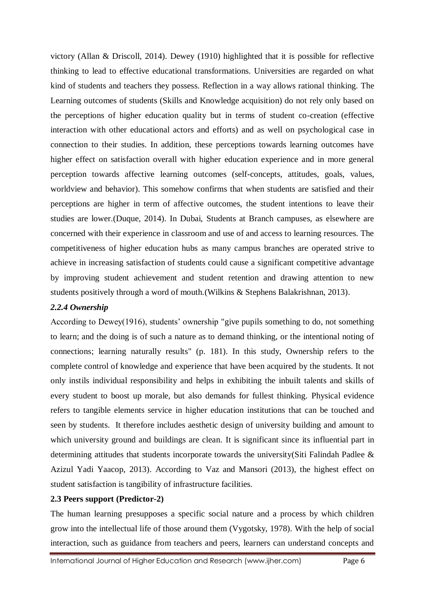victory (Allan & Driscoll, 2014). Dewey (1910) highlighted that it is possible for reflective thinking to lead to effective educational transformations. Universities are regarded on what kind of students and teachers they possess. Reflection in a way allows rational thinking. The Learning outcomes of students (Skills and Knowledge acquisition) do not rely only based on the perceptions of higher education quality but in terms of student co-creation (effective interaction with other educational actors and efforts) and as well on psychological case in connection to their studies. In addition, these perceptions towards learning outcomes have higher effect on satisfaction overall with higher education experience and in more general perception towards affective learning outcomes (self-concepts, attitudes, goals, values, worldview and behavior). This somehow confirms that when students are satisfied and their perceptions are higher in term of affective outcomes, the student intentions to leave their studies are lower.(Duque, 2014). In Dubai, Students at Branch campuses, as elsewhere are concerned with their experience in classroom and use of and access to learning resources. The competitiveness of higher education hubs as many campus branches are operated strive to achieve in increasing satisfaction of students could cause a significant competitive advantage by improving student achievement and student retention and drawing attention to new students positively through a word of mouth.(Wilkins & Stephens Balakrishnan, 2013).

### *2.2.4 Ownership*

According to Dewey(1916), students' ownership "give pupils something to do, not something to learn; and the doing is of such a nature as to demand thinking, or the intentional noting of connections; learning naturally results" (p. 181). In this study, Ownership refers to the complete control of knowledge and experience that have been acquired by the students. It not only instils individual responsibility and helps in exhibiting the inbuilt talents and skills of every student to boost up morale, but also demands for fullest thinking. Physical evidence refers to tangible elements service in higher education institutions that can be touched and seen by students. It therefore includes aesthetic design of university building and amount to which university ground and buildings are clean. It is significant since its influential part in determining attitudes that students incorporate towards the university(Siti Falindah Padlee & Azizul Yadi Yaacop, 2013). According to Vaz and Mansori (2013), the highest effect on student satisfaction is tangibility of infrastructure facilities.

#### **2.3 Peers support (Predictor-2)**

The human learning presupposes a specific social nature and a process by which children grow into the intellectual life of those around them (Vygotsky, 1978). With the help of social interaction, such as guidance from teachers and peers, learners can understand concepts and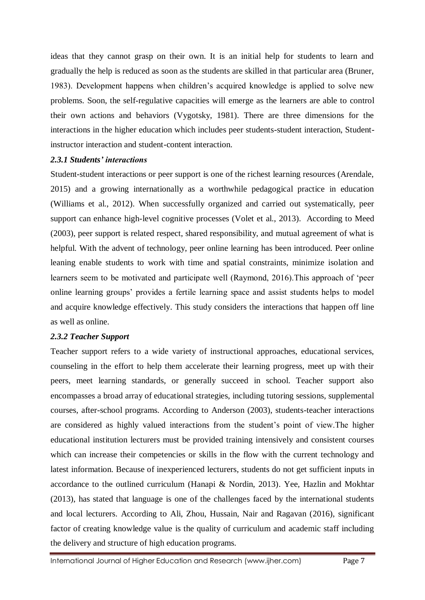ideas that they cannot grasp on their own. It is an initial help for students to learn and gradually the help is reduced as soon as the students are skilled in that particular area (Bruner, 1983). Development happens when children's acquired knowledge is applied to solve new problems. Soon, the self-regulative capacities will emerge as the learners are able to control their own actions and behaviors (Vygotsky, 1981). There are three dimensions for the interactions in the higher education which includes peer students-student interaction, Studentinstructor interaction and student-content interaction.

#### *2.3.1 Students' interactions*

Student-student interactions or peer support is one of the richest learning resources (Arendale, 2015) and a growing internationally as a worthwhile pedagogical practice in education (Williams et al., 2012). When successfully organized and carried out systematically, peer support can enhance high-level cognitive processes (Volet et al., 2013). According to Meed (2003), peer support is related respect, shared responsibility, and mutual agreement of what is helpful. With the advent of technology, peer online learning has been introduced. Peer online leaning enable students to work with time and spatial constraints, minimize isolation and learners seem to be motivated and participate well (Raymond, 2016).This approach of 'peer online learning groups' provides a fertile learning space and assist students helps to model and acquire knowledge effectively. This study considers the interactions that happen off line as well as online.

#### *2.3.2 Teacher Support*

Teacher support refers to a wide variety of instructional approaches, educational services, counseling in the effort to help them accelerate their learning progress, meet up with their peers, meet learning standards, or generally succeed in school. Teacher support also encompasses a broad array of educational strategies, including tutoring sessions, supplemental courses, after-school programs. According to Anderson (2003), students-teacher interactions are considered as highly valued interactions from the student's point of view.The higher educational institution lecturers must be provided training intensively and consistent courses which can increase their competencies or skills in the flow with the current technology and latest information. Because of inexperienced lecturers, students do not get sufficient inputs in accordance to the outlined curriculum (Hanapi & Nordin, 2013). Yee, Hazlin and Mokhtar (2013), has stated that language is one of the challenges faced by the international students and local lecturers. According to Ali, Zhou, Hussain, Nair and Ragavan (2016), significant factor of creating knowledge value is the quality of curriculum and academic staff including the delivery and structure of high education programs.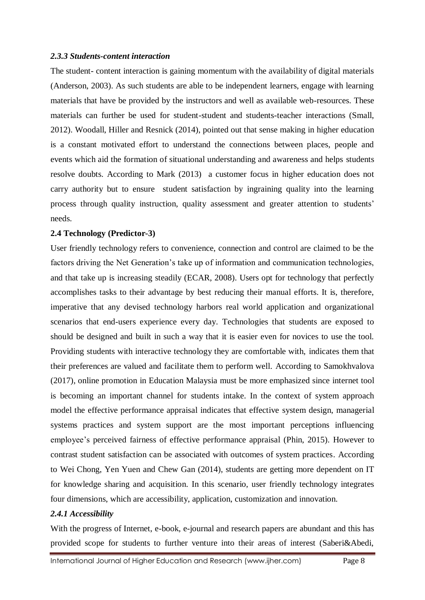#### *2.3.3 Students-content interaction*

The student- content interaction is gaining momentum with the availability of digital materials (Anderson, 2003). As such students are able to be independent learners, engage with learning materials that have be provided by the instructors and well as available web-resources. These materials can further be used for student-student and students-teacher interactions (Small, 2012). Woodall, Hiller and Resnick (2014), pointed out that sense making in higher education is a constant motivated effort to understand the connections between places, people and events which aid the formation of situational understanding and awareness and helps students resolve doubts. According to Mark (2013) a customer focus in higher education does not carry authority but to ensure student satisfaction by ingraining quality into the learning process through quality instruction, quality assessment and greater attention to students' needs.

#### **2.4 Technology (Predictor-3)**

User friendly technology refers to convenience, connection and control are claimed to be the factors driving the Net Generation's take up of information and communication technologies, and that take up is increasing steadily (ECAR, 2008). Users opt for technology that perfectly accomplishes tasks to their advantage by best reducing their manual efforts. It is, therefore, imperative that any devised technology harbors real world application and organizational scenarios that end-users experience every day. Technologies that students are exposed to should be designed and built in such a way that it is easier even for novices to use the tool. Providing students with interactive technology they are comfortable with, indicates them that their preferences are valued and facilitate them to perform well. According to Samokhvalova (2017), online promotion in Education Malaysia must be more emphasized since internet tool is becoming an important channel for students intake. In the context of system approach model the effective performance appraisal indicates that effective system design, managerial systems practices and system support are the most important perceptions influencing employee's perceived fairness of effective performance appraisal (Phin, 2015). However to contrast student satisfaction can be associated with outcomes of system practices. According to Wei Chong, Yen Yuen and Chew Gan (2014), students are getting more dependent on IT for knowledge sharing and acquisition. In this scenario, user friendly technology integrates four dimensions, which are accessibility, application, customization and innovation.

#### *2.4.1 Accessibility*

With the progress of Internet, e-book, e-journal and research papers are abundant and this has provided scope for students to further venture into their areas of interest (Saberi&Abedi,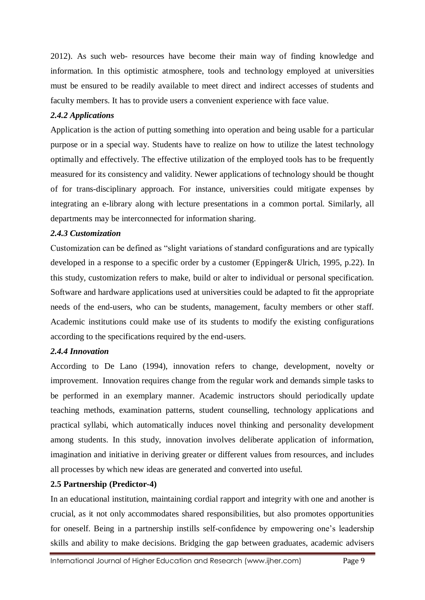2012). As such web- resources have become their main way of finding knowledge and information. In this optimistic atmosphere, tools and technology employed at universities must be ensured to be readily available to meet direct and indirect accesses of students and faculty members. It has to provide users a convenient experience with face value.

### *2.4.2 Applications*

Application is the action of putting something into operation and being usable for a particular purpose or in a special way. Students have to realize on how to utilize the latest technology optimally and effectively. The effective utilization of the employed tools has to be frequently measured for its consistency and validity. Newer applications of technology should be thought of for trans-disciplinary approach. For instance, universities could mitigate expenses by integrating an e-library along with lecture presentations in a common portal. Similarly, all departments may be interconnected for information sharing.

#### *2.4.3 Customization*

Customization can be defined as "slight variations of standard configurations and are typically developed in a response to a specific order by a customer (Eppinger& Ulrich, 1995, p.22). In this study, customization refers to make, build or alter to individual or personal specification. Software and hardware applications used at universities could be adapted to fit the appropriate needs of the end-users, who can be students, management, faculty members or other staff. Academic institutions could make use of its students to modify the existing configurations according to the specifications required by the end-users.

### *2.4.4 Innovation*

According to De Lano (1994), innovation refers to change, development, novelty or improvement. Innovation requires change from the regular work and demands simple tasks to be performed in an exemplary manner. Academic instructors should periodically update teaching methods, examination patterns, student counselling, technology applications and practical syllabi, which automatically induces novel thinking and personality development among students. In this study, innovation involves deliberate application of information, imagination and initiative in deriving greater or different values from resources, and includes all processes by which new ideas are generated and converted into useful.

### **2.5 Partnership (Predictor-4)**

In an educational institution, maintaining cordial rapport and integrity with one and another is crucial, as it not only accommodates shared responsibilities, but also promotes opportunities for oneself. Being in a partnership instills self-confidence by empowering one's leadership skills and ability to make decisions. Bridging the gap between graduates, academic advisers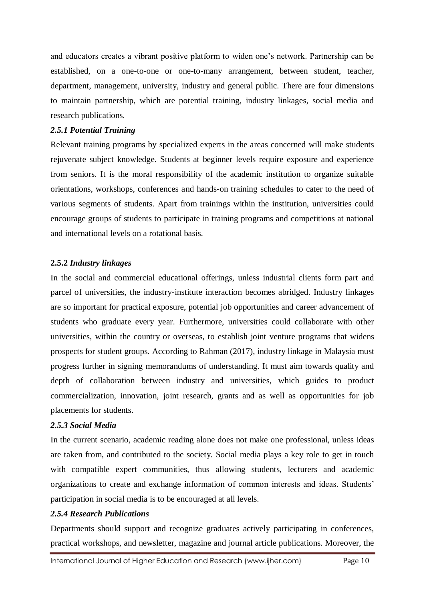and educators creates a vibrant positive platform to widen one's network. Partnership can be established, on a one-to-one or one-to-many arrangement, between student, teacher, department, management, university, industry and general public. There are four dimensions to maintain partnership, which are potential training, industry linkages, social media and research publications.

#### *2.5.1 Potential Training*

Relevant training programs by specialized experts in the areas concerned will make students rejuvenate subject knowledge. Students at beginner levels require exposure and experience from seniors. It is the moral responsibility of the academic institution to organize suitable orientations, workshops, conferences and hands-on training schedules to cater to the need of various segments of students. Apart from trainings within the institution, universities could encourage groups of students to participate in training programs and competitions at national and international levels on a rotational basis.

#### **2.5.2** *Industry linkages*

In the social and commercial educational offerings, unless industrial clients form part and parcel of universities, the industry-institute interaction becomes abridged. Industry linkages are so important for practical exposure, potential job opportunities and career advancement of students who graduate every year. Furthermore, universities could collaborate with other universities, within the country or overseas, to establish joint venture programs that widens prospects for student groups. According to Rahman (2017), industry linkage in Malaysia must progress further in signing memorandums of understanding. It must aim towards quality and depth of collaboration between industry and universities, which guides to product commercialization, innovation, joint research, grants and as well as opportunities for job placements for students.

#### *2.5.3 Social Media*

In the current scenario, academic reading alone does not make one professional, unless ideas are taken from, and contributed to the society. Social media plays a key role to get in touch with compatible expert communities, thus allowing students, lecturers and academic organizations to create and exchange information of common interests and ideas. Students' participation in social media is to be encouraged at all levels.

#### *2.5.4 Research Publications*

Departments should support and recognize graduates actively participating in conferences, practical workshops, and newsletter, magazine and journal article publications. Moreover, the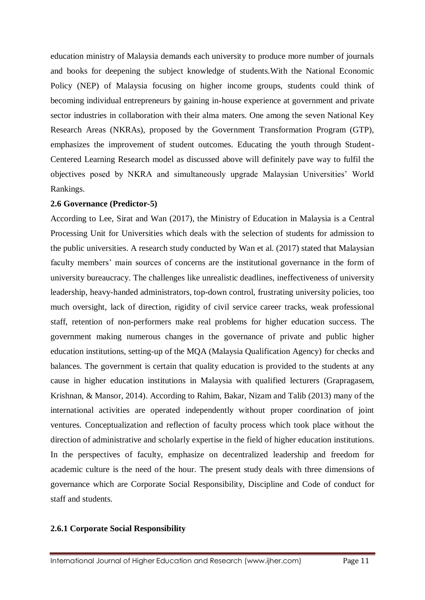education ministry of Malaysia demands each university to produce more number of journals and books for deepening the subject knowledge of students.With the National Economic Policy (NEP) of Malaysia focusing on higher income groups, students could think of becoming individual entrepreneurs by gaining in-house experience at government and private sector industries in collaboration with their alma maters. One among the seven National Key Research Areas (NKRAs), proposed by the Government Transformation Program (GTP), emphasizes the improvement of student outcomes. Educating the youth through Student-Centered Learning Research model as discussed above will definitely pave way to fulfil the objectives posed by NKRA and simultaneously upgrade Malaysian Universities' World Rankings.

#### **2.6 Governance (Predictor-5)**

According to Lee, Sirat and Wan (2017), the Ministry of Education in Malaysia is a Central Processing Unit for Universities which deals with the selection of students for admission to the public universities. A research study conducted by Wan et al. (2017) stated that Malaysian faculty members' main sources of concerns are the institutional governance in the form of university bureaucracy. The challenges like unrealistic deadlines, ineffectiveness of university leadership, heavy-handed administrators, top-down control, frustrating university policies, too much oversight, lack of direction, rigidity of civil service career tracks, weak professional staff, retention of non-performers make real problems for higher education success. The government making numerous changes in the governance of private and public higher education institutions, setting-up of the MQA (Malaysia Qualification Agency) for checks and balances. The government is certain that quality education is provided to the students at any cause in higher education institutions in Malaysia with qualified lecturers (Grapragasem, Krishnan, & Mansor, 2014). According to Rahim, Bakar, Nizam and Talib (2013) many of the international activities are operated independently without proper coordination of joint ventures. Conceptualization and reflection of faculty process which took place without the direction of administrative and scholarly expertise in the field of higher education institutions. In the perspectives of faculty, emphasize on decentralized leadership and freedom for academic culture is the need of the hour. The present study deals with three dimensions of governance which are Corporate Social Responsibility, Discipline and Code of conduct for staff and students.

#### **2.6.1 Corporate Social Responsibility**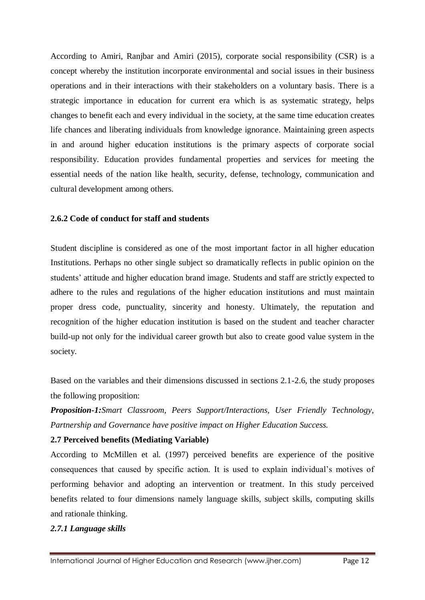According to Amiri, Ranjbar and Amiri (2015), corporate social responsibility (CSR) is a concept whereby the institution incorporate environmental and social issues in their business operations and in their interactions with their stakeholders on a voluntary basis. There is a strategic importance in education for current era which is as systematic strategy, helps changes to benefit each and every individual in the society, at the same time education creates life chances and liberating individuals from knowledge ignorance. Maintaining green aspects in and around higher education institutions is the primary aspects of corporate social responsibility. Education provides fundamental properties and services for meeting the essential needs of the nation like health, security, defense, technology, communication and cultural development among others.

#### **2.6.2 Code of conduct for staff and students**

Student discipline is considered as one of the most important factor in all higher education Institutions. Perhaps no other single subject so dramatically reflects in public opinion on the students' attitude and higher education brand image. Students and staff are strictly expected to adhere to the rules and regulations of the higher education institutions and must maintain proper dress code, punctuality, sincerity and honesty. Ultimately, the reputation and recognition of the higher education institution is based on the student and teacher character build-up not only for the individual career growth but also to create good value system in the society.

Based on the variables and their dimensions discussed in sections 2.1-2.6, the study proposes the following proposition:

*Proposition-1:Smart Classroom, Peers Support/Interactions, User Friendly Technology, Partnership and Governance have positive impact on Higher Education Success.*

### **2.7 Perceived benefits (Mediating Variable)**

According to McMillen et al. (1997) perceived benefits are experience of the positive consequences that caused by specific action. It is used to explain individual's motives of performing behavior and adopting an intervention or treatment. In this study perceived benefits related to four dimensions namely language skills, subject skills, computing skills and rationale thinking.

#### *2.7.1 Language skills*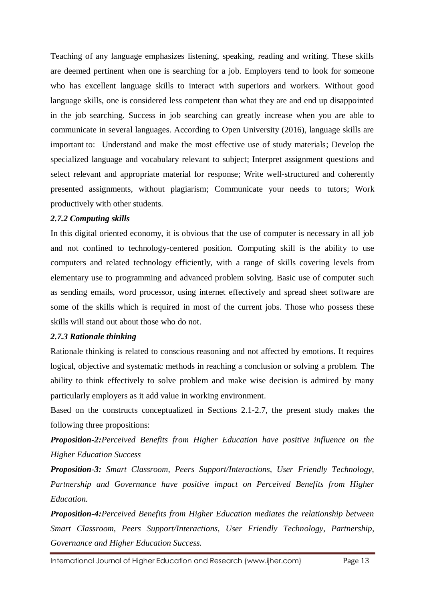Teaching of any language emphasizes listening, speaking, reading and writing. These skills are deemed pertinent when one is searching for a job. Employers tend to look for someone who has excellent language skills to interact with superiors and workers. Without good language skills, one is considered less competent than what they are and end up disappointed in the job searching. Success in job searching can greatly increase when you are able to communicate in several languages. According to Open University (2016), language skills are important to: Understand and make the most effective use of study materials; Develop the specialized language and vocabulary relevant to subject; Interpret assignment questions and select relevant and appropriate material for response; Write well-structured and coherently presented assignments, without plagiarism; Communicate your needs to tutors; Work productively with other students.

### *2.7.2 Computing skills*

In this digital oriented economy, it is obvious that the use of computer is necessary in all job and not confined to technology-centered position. Computing skill is the ability to use computers and related technology efficiently, with a range of skills covering levels from elementary use to programming and advanced problem solving. Basic use of computer such as sending emails, word processor, using internet effectively and spread sheet software are some of the skills which is required in most of the current jobs. Those who possess these skills will stand out about those who do not.

### *2.7.3 Rationale thinking*

Rationale thinking is related to conscious reasoning and not affected by emotions. It requires logical, objective and systematic methods in reaching a conclusion or solving a problem. The ability to think effectively to solve problem and make wise decision is admired by many particularly employers as it add value in working environment.

Based on the constructs conceptualized in Sections 2.1-2.7, the present study makes the following three propositions:

*Proposition-2:Perceived Benefits from Higher Education have positive influence on the Higher Education Success*

*Proposition-3: Smart Classroom, Peers Support/Interactions, User Friendly Technology, Partnership and Governance have positive impact on Perceived Benefits from Higher Education.*

*Proposition-4:Perceived Benefits from Higher Education mediates the relationship between Smart Classroom, Peers Support/Interactions, User Friendly Technology, Partnership, Governance and Higher Education Success.*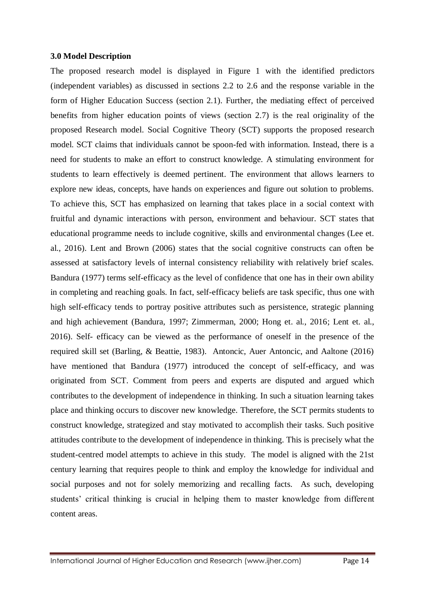#### **3.0 Model Description**

The proposed research model is displayed in Figure 1 with the identified predictors (independent variables) as discussed in sections 2.2 to 2.6 and the response variable in the form of Higher Education Success (section 2.1). Further, the mediating effect of perceived benefits from higher education points of views (section 2.7) is the real originality of the proposed Research model. Social Cognitive Theory (SCT) supports the proposed research model. SCT claims that individuals cannot be spoon-fed with information. Instead, there is a need for students to make an effort to construct knowledge. A stimulating environment for students to learn effectively is deemed pertinent. The environment that allows learners to explore new ideas, concepts, have hands on experiences and figure out solution to problems. To achieve this, SCT has emphasized on learning that takes place in a social context with fruitful and dynamic interactions with person, environment and behaviour. SCT states that educational programme needs to include cognitive, skills and environmental changes (Lee et. al., 2016). Lent and Brown (2006) states that the social cognitive constructs can often be assessed at satisfactory levels of internal consistency reliability with relatively brief scales. Bandura (1977) terms self-efficacy as the level of confidence that one has in their own ability in completing and reaching goals. In fact, self-efficacy beliefs are task specific, thus one with high self-efficacy tends to portray positive attributes such as persistence, strategic planning and high achievement (Bandura, 1997; Zimmerman, 2000; Hong et. al., 2016; Lent et. al., 2016). Self- efficacy can be viewed as the performance of oneself in the presence of the required skill set (Barling, & Beattie, 1983). Antoncic, Auer Antoncic, and Aaltone (2016) have mentioned that Bandura (1977) introduced the concept of self-efficacy, and was originated from SCT. Comment from peers and experts are disputed and argued which contributes to the development of independence in thinking. In such a situation learning takes place and thinking occurs to discover new knowledge. Therefore, the SCT permits students to construct knowledge, strategized and stay motivated to accomplish their tasks. Such positive attitudes contribute to the development of independence in thinking. This is precisely what the student-centred model attempts to achieve in this study. The model is aligned with the 21st century learning that requires people to think and employ the knowledge for individual and social purposes and not for solely memorizing and recalling facts. As such, developing students' critical thinking is crucial in helping them to master knowledge from different content areas.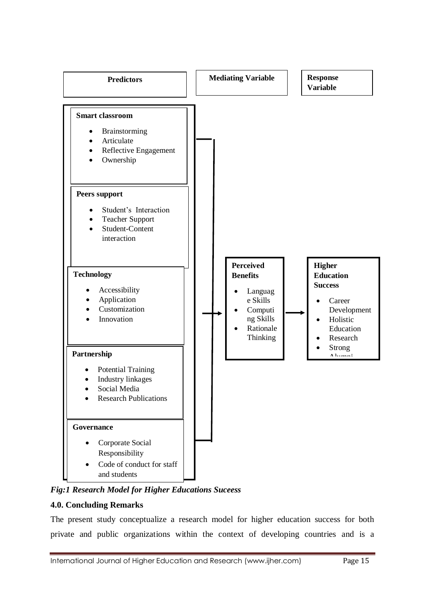

*Fig:1 Research Model for Higher Educations Suceess*

# **4.0. Concluding Remarks**

The present study conceptualize a research model for higher education success for both private and public organizations within the context of developing countries and is a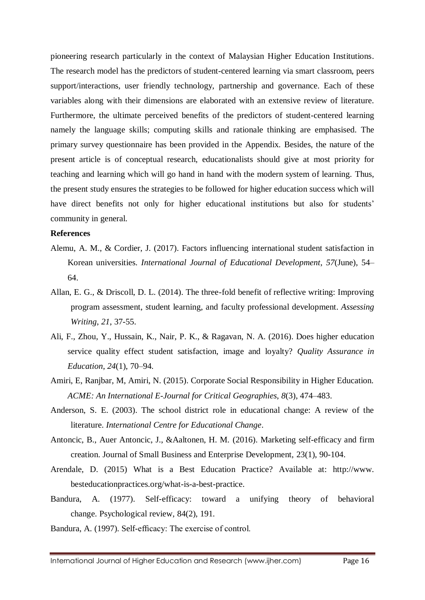pioneering research particularly in the context of Malaysian Higher Education Institutions. The research model has the predictors of student-centered learning via smart classroom, peers support/interactions, user friendly technology, partnership and governance. Each of these variables along with their dimensions are elaborated with an extensive review of literature. Furthermore, the ultimate perceived benefits of the predictors of student-centered learning namely the language skills; computing skills and rationale thinking are emphasised. The primary survey questionnaire has been provided in the Appendix. Besides, the nature of the present article is of conceptual research, educationalists should give at most priority for teaching and learning which will go hand in hand with the modern system of learning. Thus, the present study ensures the strategies to be followed for higher education success which will have direct benefits not only for higher educational institutions but also for students' community in general.

#### **References**

- Alemu, A. M., & Cordier, J. (2017). Factors influencing international student satisfaction in Korean universities. *International Journal of Educational Development*, *57*(June), 54– 64.
- Allan, E. G., & Driscoll, D. L. (2014). The three-fold benefit of reflective writing: Improving program assessment, student learning, and faculty professional development. *Assessing Writing*, *21*, 37-55.
- Ali, F., Zhou, Y., Hussain, K., Nair, P. K., & Ragavan, N. A. (2016). Does higher education service quality effect student satisfaction, image and loyalty? *Quality Assurance in Education*, *24*(1), 70–94.
- Amiri, E, Ranjbar, M, Amiri, N. (2015). Corporate Social Responsibility in Higher Education. *ACME: An International E-Journal for Critical Geographies*, *8*(3), 474–483.
- Anderson, S. E. (2003). The school district role in educational change: A review of the literature. *International Centre for Educational Change*.
- Antoncic, B., Auer Antoncic, J., &Aaltonen, H. M. (2016). Marketing self-efficacy and firm creation. Journal of Small Business and Enterprise Development, 23(1), 90-104.
- Arendale, D. (2015) What is a Best Education Practice? Available at: http://www. besteducationpractices.org/what-is-a-best-practice.
- Bandura, A. (1977). Self-efficacy: toward a unifying theory of behavioral change. Psychological review, 84(2), 191.
- Bandura, A. (1997). Self-efficacy: The exercise of control.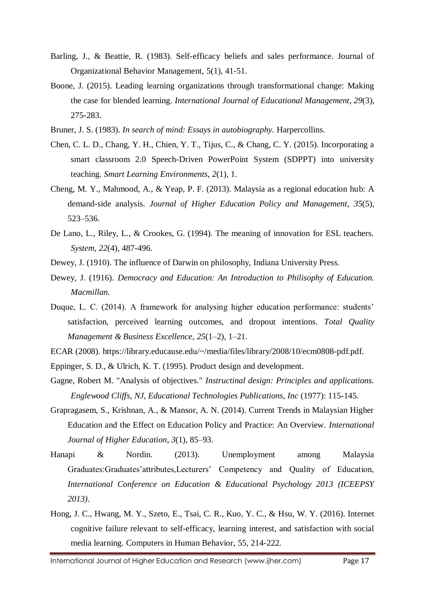- Barling, J., & Beattie, R. (1983). Self-efficacy beliefs and sales performance. Journal of Organizational Behavior Management, 5(1), 41-51.
- Boone, J. (2015). Leading learning organizations through transformational change: Making the case for blended learning. *International Journal of Educational Management*, *29*(3), 275-283.
- Bruner, J. S. (1983). *In search of mind: Essays in autobiography.* Harpercollins.
- Chen, C. L. D., Chang, Y. H., Chien, Y. T., Tijus, C., & Chang, C. Y. (2015). Incorporating a smart classroom 2.0 Speech-Driven PowerPoint System (SDPPT) into university teaching. *Smart Learning Environments*, *2*(1), 1.
- Cheng, M. Y., Mahmood, A., & Yeap, P. F. (2013). Malaysia as a regional education hub: A demand-side analysis. *Journal of Higher Education Policy and Management*, *35*(5), 523–536.
- De Lano, L., Riley, L., & Crookes, G. (1994). The meaning of innovation for ESL teachers. *System*, *22*(4), 487-496.
- Dewey, J. (1910). The influence of Darwin on philosophy, Indiana University Press.
- Dewey, J. (1916). *Democracy and Education: An Introduction to Philisophy of Education. Macmillan.*
- Duque, L. C. (2014). A framework for analysing higher education performance: students' satisfaction, perceived learning outcomes, and dropout intentions. *Total Quality Management & Business Excellence*, *25*(1–2), 1–21.
- ECAR (2008). [https://library.educause.edu/~/media/files/library/2008/10/ecm0808-pdf.pdf.](https://library.educause.edu/~/media/files/library/2008/10/ecm0808-pdf.pdf)
- Eppinger, S. D., & Ulrich, K. T. (1995). Product design and development.
- Gagne, Robert M. "Analysis of objectives." *Instructinal design: Principles and applications. Englewood Cliffs, NJ, Educational Technologies Publications, Inc* (1977): 115-145.
- Grapragasem, S., Krishnan, A., & Mansor, A. N. (2014). Current Trends in Malaysian Higher Education and the Effect on Education Policy and Practice: An Overview. *International Journal of Higher Education*, *3*(1), 85–93.
- Hanapi & Nordin. (2013). Unemployment among Malaysia Graduates:Graduates'attributes,Lecturers' Competency and Quality of Education, *International Conference on Education & Educational Psychology 2013 (ICEEPSY 2013)*.
- Hong, J. C., Hwang, M. Y., Szeto, E., Tsai, C. R., Kuo, Y. C., & Hsu, W. Y. (2016). Internet cognitive failure relevant to self-efficacy, learning interest, and satisfaction with social media learning. Computers in Human Behavior, 55, 214-222.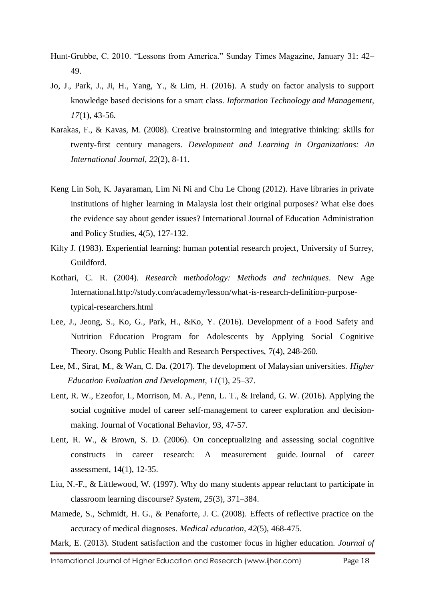- Hunt-Grubbe, C. 2010. "Lessons from America." Sunday Times Magazine, January 31: 42– 49.
- Jo, J., Park, J., Ji, H., Yang, Y., & Lim, H. (2016). A study on factor analysis to support knowledge based decisions for a smart class. *Information Technology and Management, 17*(1), 43-56.
- Karakas, F., & Kavas, M. (2008). Creative brainstorming and integrative thinking: skills for twenty-first century managers. *Development and Learning in Organizations: An International Journal*, *22*(2), 8-11.
- Keng Lin Soh, K. Jayaraman, Lim Ni Ni and Chu Le Chong (2012). Have libraries in private institutions of higher learning in Malaysia lost their original purposes? What else does the evidence say about gender issues? International Journal of Education Administration and Policy Studies, 4(5), 127-132.
- Kilty J. (1983). Experiential learning: human potential research project, University of Surrey, Guildford.
- Kothari, C. R. (2004). *Research methodology: Methods and techniques*. New Age International[.http://study.com/academy/lesson/what-is-research-definition-purpose](http://study.com/academy/lesson/what-is-research-definition-purpose-typical-researchers.html)[typical-researchers.html](http://study.com/academy/lesson/what-is-research-definition-purpose-typical-researchers.html)
- Lee, J., Jeong, S., Ko, G., Park, H., &Ko, Y. (2016). Development of a Food Safety and Nutrition Education Program for Adolescents by Applying Social Cognitive Theory. Osong Public Health and Research Perspectives, 7(4), 248-260.
- Lee, M., Sirat, M., & Wan, C. Da. (2017). The development of Malaysian universities. *Higher Education Evaluation and Development*, *11*(1), 25–37.
- Lent, R. W., Ezeofor, I., Morrison, M. A., Penn, L. T., & Ireland, G. W. (2016). Applying the social cognitive model of career self-management to career exploration and decisionmaking. Journal of Vocational Behavior, 93, 47-57.
- Lent, R. W., & Brown, S. D. (2006). On conceptualizing and assessing social cognitive constructs in career research: A measurement guide. Journal of career assessment, 14(1), 12-35.
- Liu, N.-F., & Littlewood, W. (1997). Why do many students appear reluctant to participate in classroom learning discourse? *System*, *25*(3), 371–384.
- Mamede, S., Schmidt, H. G., & Penaforte, J. C. (2008). Effects of reflective practice on the accuracy of medical diagnoses. *Medical education*, *42*(5), 468-475.

Mark, E. (2013). Student satisfaction and the customer focus in higher education. *Journal of*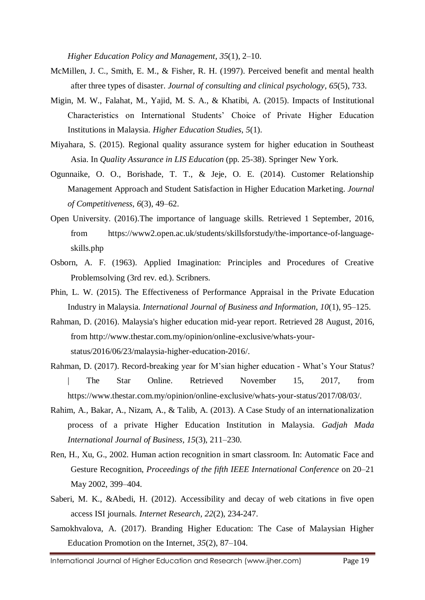*Higher Education Policy and Management*, *35*(1), 2–10.

- McMillen, J. C., Smith, E. M., & Fisher, R. H. (1997). Perceived benefit and mental health after three types of disaster. *Journal of consulting and clinical psychology*, *65*(5), 733.
- Migin, M. W., Falahat, M., Yajid, M. S. A., & Khatibi, A. (2015). Impacts of Institutional Characteristics on International Students' Choice of Private Higher Education Institutions in Malaysia. *Higher Education Studies*, *5*(1).
- Miyahara, S. (2015). Regional quality assurance system for higher education in Southeast Asia. In *Quality Assurance in LIS Education* (pp. 25-38). Springer New York.
- Ogunnaike, O. O., Borishade, T. T., & Jeje, O. E. (2014). Customer Relationship Management Approach and Student Satisfaction in Higher Education Marketing. *Journal of Competitiveness*, *6*(3), 49–62.
- Open University. (2016).The importance of language skills. Retrieved 1 September, 2016, from [https://www2.open.ac.uk/students/skillsforstudy/the-importance-of-language](https://www2.open.ac.uk/students/skillsforstudy/the-importance-of-language-skills.php)[skills.php](https://www2.open.ac.uk/students/skillsforstudy/the-importance-of-language-skills.php)
- Osborn, A. F. (1963). Applied Imagination: Principles and Procedures of Creative Problemsolving (3rd rev. ed.). Scribners.
- Phin, L. W. (2015). The Effectiveness of Performance Appraisal in the Private Education Industry in Malaysia. *International Journal of Business and Information*, *10*(1), 95–125.
- [Rahman,](http://www.thestar.com.my/authors?q=%22Danial+Rahman%22) D. (2016). Malaysia's higher education mid-year report. Retrieved 28 August, 2016, from [http://www.thestar.com.my/opinion/online-exclusive/whats-your](http://www.thestar.com.my/opinion/online-exclusive/whats-your-status/2016/06/23/malaysia-higher-education-2016/)[status/2016/06/23/malaysia-higher-education-2016/.](http://www.thestar.com.my/opinion/online-exclusive/whats-your-status/2016/06/23/malaysia-higher-education-2016/)
- Rahman, D. (2017). Record-breaking year for M'sian higher education What's Your Status? | The Star Online. Retrieved November 15, 2017, from [https://www.thestar.com.my/opinion/online-exclusive/whats-your-status/2017/08/03/.](https://www.thestar.com.my/opinion/online-exclusive/whats-your-status/2017/08/03/)
- Rahim, A., Bakar, A., Nizam, A., & Talib, A. (2013). A Case Study of an internationalization process of a private Higher Education Institution in Malaysia. *Gadjah Mada International Journal of Business*, *15*(3), 211–230.
- Ren, H., Xu, G., 2002. Human action recognition in smart classroom. In: Automatic Face and Gesture Recognition, *Proceedings of the fifth IEEE International Conference* on 20–21 May 2002, 399–404.
- Saberi, M. K., &Abedi, H. (2012). Accessibility and decay of web citations in five open access ISI journals. *Internet Research*, *22*(2), 234-247.
- Samokhvalova, A. (2017). Branding Higher Education: The Case of Malaysian Higher Education Promotion on the Internet, *35*(2), 87–104.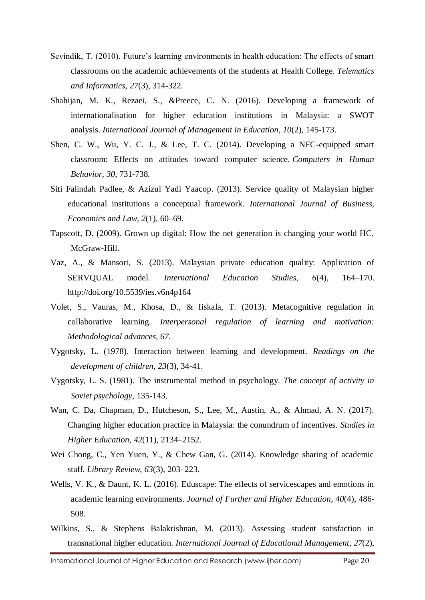- Sevindik, T. (2010). Future's learning environments in health education: The effects of smart classrooms on the academic achievements of the students at Health College. *Telematics and Informatics*, *27*(3), 314-322.
- Shahijan, M. K., Rezaei, S., &Preece, C. N. (2016). Developing a framework of internationalisation for higher education institutions in Malaysia: a SWOT analysis. *International Journal of Management in Education*, *10*(2), 145-173.
- Shen, C. W., Wu, Y. C. J., & Lee, T. C. (2014). Developing a NFC-equipped smart classroom: Effects on attitudes toward computer science. *Computers in Human Behavior*, *30*, 731-738.
- Siti Falindah Padlee, & Azizul Yadi Yaacop. (2013). Service quality of Malaysian higher educational institutions a conceptual framework. *International Journal of Business, Economics and Law*, *2*(1), 60–69.
- Tapscott, D. (2009). Grown up digital: How the net generation is changing your world HC. McGraw-Hill.
- Vaz, A., & Mansori, S. (2013). Malaysian private education quality: Application of SERVQUAL model. *International Education Studies*, *6*(4), 164–170. http://doi.org/10.5539/ies.v6n4p164
- Volet, S., Vauras, M., Khosa, D., & Iiskala, T. (2013). Metacognitive regulation in collaborative learning. *Interpersonal regulation of learning and motivation: Methodological advances, 67.*
- Vygotsky, L. (1978). Interaction between learning and development. *Readings on the development of children*, *23*(3), 34-41.
- Vygotsky, L. S. (1981). The instrumental method in psychology. *The concept of activity in Soviet psychology*, 135-143.
- Wan, C. Da, Chapman, D., Hutcheson, S., Lee, M., Austin, A., & Ahmad, A. N. (2017). Changing higher education practice in Malaysia: the conundrum of incentives. *Studies in Higher Education*, *42*(11), 2134–2152.
- Wei Chong, C., Yen Yuen, Y., & Chew Gan, G. (2014). Knowledge sharing of academic staff. *Library Review*, *63*(3), 203–223.
- Wells, V. K., & Daunt, K. L. (2016). Eduscape: The effects of servicescapes and emotions in academic learning environments. *Journal of Further and Higher Education*, *40*(4), 486- 508.
- Wilkins, S., & Stephens Balakrishnan, M. (2013). Assessing student satisfaction in transnational higher education. *International Journal of Educational Management*, *27*(2),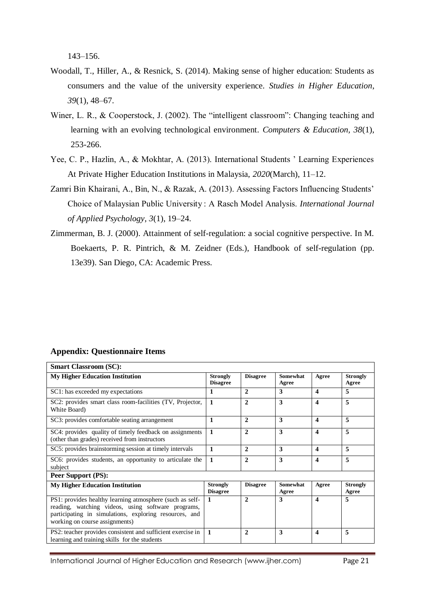143–156.

- Woodall, T., Hiller, A., & Resnick, S. (2014). Making sense of higher education: Students as consumers and the value of the university experience. *Studies in Higher Education*, *39*(1), 48–67.
- Winer, L. R., & Cooperstock, J. (2002). The "intelligent classroom": Changing teaching and learning with an evolving technological environment. *Computers & Education, 38*(1), 253-266.
- Yee, C. P., Hazlin, A., & Mokhtar, A. (2013). International Students ' Learning Experiences At Private Higher Education Institutions in Malaysia, *2020*(March), 11–12.
- Zamri Bin Khairani, A., Bin, N., & Razak, A. (2013). Assessing Factors Influencing Students' Choice of Malaysian Public University : A Rasch Model Analysis. *International Journal of Applied Psychology*, *3*(1), 19–24.
- Zimmerman, B. J. (2000). Attainment of self-regulation: a social cognitive perspective. In M. Boekaerts, P. R. Pintrich, & M. Zeidner (Eds.), Handbook of self-regulation (pp. 13e39). San Diego, CA: Academic Press.

#### **Appendix: Questionnaire Items**

| <b>Smart Classroom (SC):</b>                                                                                                                                                                               |                                    |                 |                          |                       |                          |
|------------------------------------------------------------------------------------------------------------------------------------------------------------------------------------------------------------|------------------------------------|-----------------|--------------------------|-----------------------|--------------------------|
| <b>My Higher Education Institution</b>                                                                                                                                                                     | <b>Strongly</b><br><b>Disagree</b> | <b>Disagree</b> | Somewhat<br>Agree        | Agree                 | <b>Strongly</b><br>Agree |
| SC1: has exceeded my expectations                                                                                                                                                                          | 1                                  | $\mathbf{2}$    | 3                        | $\boldsymbol{4}$      | 5                        |
| SC2: provides smart class room-facilities (TV, Projector,<br>White Board)                                                                                                                                  | 1                                  | $\mathbf{2}$    | 3                        | $\boldsymbol{4}$      | 5                        |
| SC3: provides comfortable seating arrangement                                                                                                                                                              | 1                                  | $\mathbf{2}$    | 3                        | $\boldsymbol{4}$      | 5                        |
| SC4: provides quality of timely feedback on assignments<br>(other than grades) received from instructors                                                                                                   | $\mathbf{1}$                       | $\mathbf{2}$    | 3                        | $\boldsymbol{\Delta}$ | 5                        |
| SC5: provides brainstorming session at timely intervals                                                                                                                                                    | 1                                  | $\mathbf{2}$    | 3                        | $\boldsymbol{\Delta}$ | 5                        |
| SC6: provides students, an opportunity to articulate the<br>subject                                                                                                                                        | $\mathbf{1}$                       | $\overline{2}$  | 3                        | $\boldsymbol{4}$      | 5                        |
| Peer Support (PS):                                                                                                                                                                                         |                                    |                 |                          |                       |                          |
| <b>My Higher Education Institution</b>                                                                                                                                                                     | <b>Strongly</b><br><b>Disagree</b> | <b>Disagree</b> | <b>Somewhat</b><br>Agree | Agree                 | <b>Strongly</b><br>Agree |
| PS1: provides healthy learning atmosphere (such as self-<br>reading, watching videos, using software programs,<br>participating in simulations, exploring resources, and<br>working on course assignments) | 1                                  | $\overline{2}$  | 3                        | $\boldsymbol{\Delta}$ | 5                        |
| PS2: teacher provides consistent and sufficient exercise in<br>learning and training skills for the students                                                                                               | 1                                  | $\mathbf{2}$    | 3                        | $\boldsymbol{4}$      | 5                        |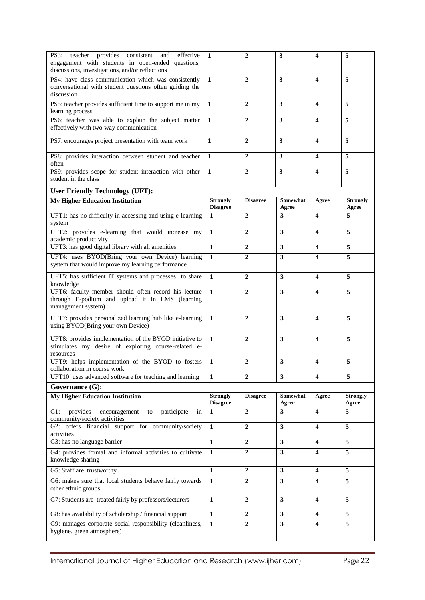| teacher provides consistent<br>PS3:<br>and<br>effective<br>engagement with students in open-ended questions,<br>discussions, investigations, and/or reflections | 1                                  | $\mathbf{2}$    | 3                       | $\overline{\mathbf{4}}$ | 5                        |
|-----------------------------------------------------------------------------------------------------------------------------------------------------------------|------------------------------------|-----------------|-------------------------|-------------------------|--------------------------|
| PS4: have class communication which was consistently<br>conversational with student questions often guiding the<br>discussion                                   | 1                                  | $\overline{2}$  | 3                       | $\overline{\mathbf{4}}$ | 5                        |
| PS5: teacher provides sufficient time to support me in my<br>learning process                                                                                   | 1                                  | $\mathbf{2}$    | 3                       | $\overline{\mathbf{4}}$ | 5                        |
| PS6: teacher was able to explain the subject matter<br>effectively with two-way communication                                                                   | $\mathbf{1}$                       | $\mathbf{2}$    | 3                       | $\overline{\mathbf{4}}$ | 5                        |
| PS7: encourages project presentation with team work                                                                                                             | 1                                  | $\overline{2}$  | 3                       | $\overline{\mathbf{4}}$ | 5                        |
| PS8: provides interaction between student and teacher<br>often                                                                                                  | 1                                  | $\overline{2}$  | 3                       | $\overline{\mathbf{4}}$ | 5                        |
| PS9: provides scope for student interaction with other<br>student in the class                                                                                  | $\mathbf{1}$                       | $\overline{2}$  | 3                       | $\overline{\mathbf{4}}$ | 5                        |
| <b>User Friendly Technology (UFT):</b>                                                                                                                          |                                    |                 |                         |                         |                          |
| <b>My Higher Education Institution</b>                                                                                                                          | <b>Strongly</b><br><b>Disagree</b> | <b>Disagree</b> | Somewhat<br>Agree       | Agree                   | <b>Strongly</b><br>Agree |
| UFT1: has no difficulty in accessing and using e-learning<br>system                                                                                             | 1                                  | $\overline{2}$  | 3                       | $\boldsymbol{4}$        | 5                        |
| UFT2: provides e-learning that would increase my<br>academic productivity                                                                                       | $\mathbf{1}$                       | $\overline{2}$  | 3                       | $\overline{\mathbf{4}}$ | 5                        |
| UFT3: has good digital library with all amenities                                                                                                               | $\mathbf{1}$                       | $\overline{2}$  | 3                       | $\overline{\mathbf{4}}$ | 5                        |
| UFT4: uses BYOD(Bring your own Device) learning<br>system that would improve my learning performance                                                            | $\mathbf{1}$                       | $\overline{2}$  | $\overline{\mathbf{3}}$ | $\overline{\mathbf{4}}$ | 5                        |
| UFT5: has sufficient IT systems and processes to share<br>knowledge                                                                                             | $\mathbf{1}$                       | $\overline{2}$  | 3                       | $\overline{\mathbf{4}}$ | 5                        |
| UFT6: faculty member should often record his lecture<br>through E-podium and upload it in LMS (learning<br>management system)                                   | $\mathbf{1}$                       | $\mathbf{2}$    | $\overline{\mathbf{3}}$ | $\overline{\mathbf{4}}$ | 5                        |
| UFT7: provides personalized learning hub like e-learning<br>using BYOD(Bring your own Device)                                                                   | $\mathbf{1}$                       | $\mathbf{2}$    | $\overline{\mathbf{3}}$ | $\boldsymbol{4}$        | 5                        |
| UFT8: provides implementation of the BYOD initiative to<br>stimulates my desire of exploring course-related e-<br>resources                                     | $\mathbf{1}$                       | $\mathbf{2}$    | 3                       | $\boldsymbol{4}$        | 5                        |
| UFT9: helps implementation of the BYOD to fosters<br>collaboration in course work                                                                               | 1                                  | $\mathbf{2}$    | 3                       | $\overline{\mathbf{4}}$ | 5                        |
| UFT10: uses advanced software for teaching and learning                                                                                                         | 1                                  | $\overline{2}$  | 3                       | $\boldsymbol{4}$        | 5                        |
| Governance $(G)$ :                                                                                                                                              |                                    |                 |                         |                         |                          |
| <b>My Higher Education Institution</b>                                                                                                                          | <b>Strongly</b><br><b>Disagree</b> | <b>Disagree</b> | Somewhat<br>Agree       | Agree                   | <b>Strongly</b><br>Agree |
| $G1$ :<br>provides<br>participate<br>encouragement<br>in<br>to<br>community/society activities                                                                  | $\mathbf{1}$                       | $\mathbf{2}$    | 3                       | $\overline{\mathbf{4}}$ | 5                        |
| G2: offers financial support for community/society<br>activities                                                                                                | 1                                  | 2               | $\mathbf{3}$            | 4                       | 5                        |
| G3: has no language barrier                                                                                                                                     | $\mathbf{1}$                       | $\overline{2}$  | 3                       | $\boldsymbol{4}$        | 5                        |
| G4: provides formal and informal activities to cultivate<br>knowledge sharing                                                                                   | 1                                  | $\mathbf{2}$    | $\mathbf{3}$            | $\overline{\mathbf{4}}$ | 5                        |
| G5: Staff are trustworthy                                                                                                                                       | $\mathbf{1}$                       | $\mathbf{2}$    | 3                       | $\overline{\mathbf{4}}$ | 5                        |
| G6: makes sure that local students behave fairly towards<br>other ethnic groups                                                                                 | $\mathbf{1}$                       | $\overline{2}$  | 3                       | $\overline{\mathbf{4}}$ | 5                        |
| G7: Students are treated fairly by professors/lecturers                                                                                                         | $\mathbf{1}$                       | $\overline{2}$  | $\mathbf{3}$            | 4                       | 5                        |
| G8: has availability of scholarship / financial support                                                                                                         | $\mathbf{1}$                       | $\mathbf{2}$    | 3                       | $\overline{\mathbf{4}}$ | 5                        |
| G9: manages corporate social responsibility (cleanliness,<br>hygiene, green atmosphere)                                                                         | $\mathbf{1}$                       | $\overline{2}$  | $\overline{\mathbf{3}}$ | $\overline{\mathbf{4}}$ | $\overline{5}$           |